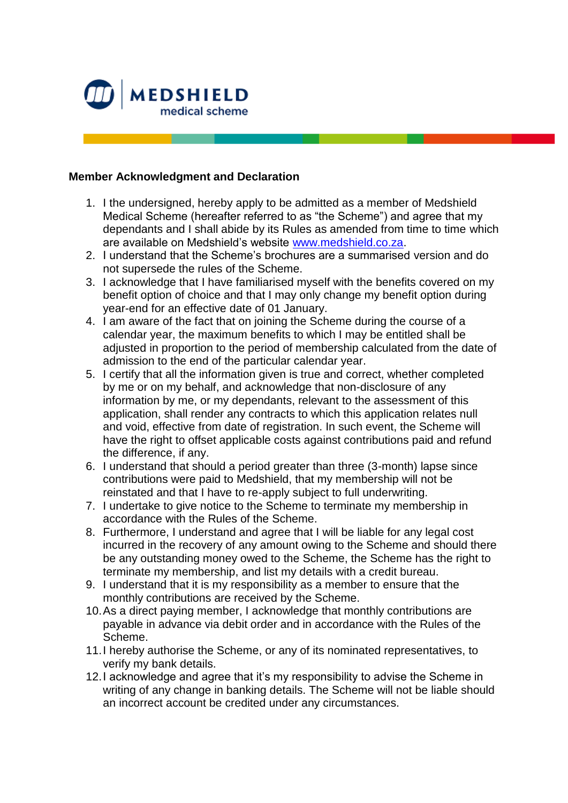

## **Member Acknowledgment and Declaration**

- 1. I the undersigned, hereby apply to be admitted as a member of Medshield Medical Scheme (hereafter referred to as "the Scheme") and agree that my dependants and I shall abide by its Rules as amended from time to time which are available on Medshield's website [www.medshield.co.za.](http://www.medshield.co.za/)
- 2. I understand that the Scheme's brochures are a summarised version and do not supersede the rules of the Scheme.
- 3. I acknowledge that I have familiarised myself with the benefits covered on my benefit option of choice and that I may only change my benefit option during year-end for an effective date of 01 January.
- 4. I am aware of the fact that on joining the Scheme during the course of a calendar year, the maximum benefits to which I may be entitled shall be adjusted in proportion to the period of membership calculated from the date of admission to the end of the particular calendar year.
- 5. I certify that all the information given is true and correct, whether completed by me or on my behalf, and acknowledge that non-disclosure of any information by me, or my dependants, relevant to the assessment of this application, shall render any contracts to which this application relates null and void, effective from date of registration. In such event, the Scheme will have the right to offset applicable costs against contributions paid and refund the difference, if any.
- 6. I understand that should a period greater than three (3-month) lapse since contributions were paid to Medshield, that my membership will not be reinstated and that I have to re-apply subject to full underwriting.
- 7. I undertake to give notice to the Scheme to terminate my membership in accordance with the Rules of the Scheme.
- 8. Furthermore, I understand and agree that I will be liable for any legal cost incurred in the recovery of any amount owing to the Scheme and should there be any outstanding money owed to the Scheme, the Scheme has the right to terminate my membership, and list my details with a credit bureau.
- 9. I understand that it is my responsibility as a member to ensure that the monthly contributions are received by the Scheme.
- 10.As a direct paying member, I acknowledge that monthly contributions are payable in advance via debit order and in accordance with the Rules of the Scheme.
- 11.I hereby authorise the Scheme, or any of its nominated representatives, to verify my bank details.
- 12.I acknowledge and agree that it's my responsibility to advise the Scheme in writing of any change in banking details. The Scheme will not be liable should an incorrect account be credited under any circumstances.